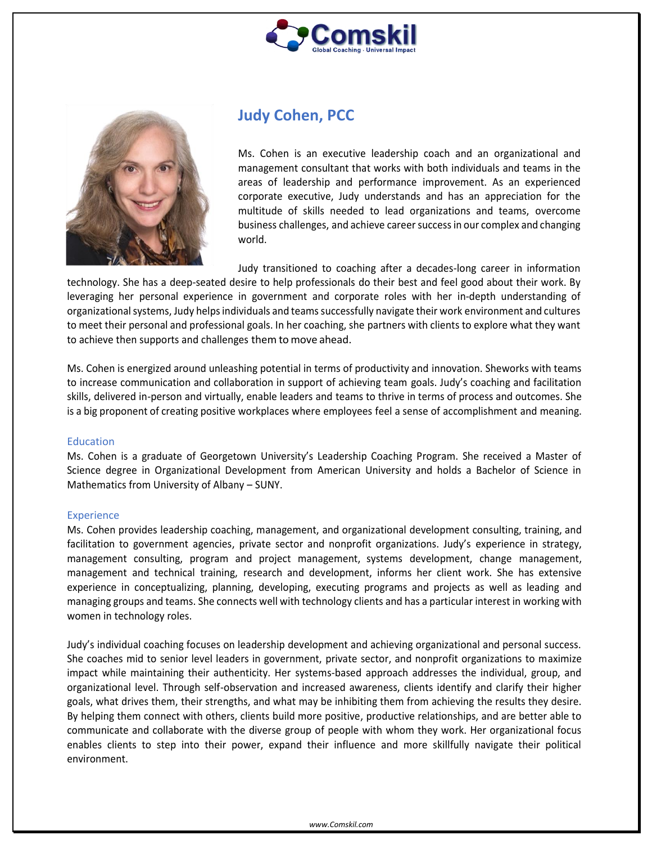



# **Judy Cohen, PCC**

Ms. Cohen is an executive leadership coach and an organizational and management consultant that works with both individuals and teams in the areas of leadership and performance improvement. As an experienced corporate executive, Judy understands and has an appreciation for the multitude of skills needed to lead organizations and teams, overcome business challenges, and achieve careersuccessin our complex and changing world.

Judy transitioned to coaching after a decades-long career in information technology. She has a deep-seated desire to help professionals do their best and feel good about their work. By leveraging her personal experience in government and corporate roles with her in-depth understanding of organizational systems, Judy helps individuals and teams successfully navigate their work environment and cultures to meet their personal and professional goals. In her coaching, she partners with clients to explore what they want to achieve then supports and challenges them to move ahead.

Ms. Cohen is energized around unleashing potential in terms of productivity and innovation. Sheworks with teams to increase communication and collaboration in support of achieving team goals. Judy's coaching and facilitation skills, delivered in-person and virtually, enable leaders and teams to thrive in terms of process and outcomes. She is a big proponent of creating positive workplaces where employees feel a sense of accomplishment and meaning.

#### Education

Ms. Cohen is a graduate of Georgetown University's Leadership Coaching Program. She received a Master of Science degree in Organizational Development from American University and holds a Bachelor of Science in Mathematics from University of Albany – SUNY.

## Experience

Ms. Cohen provides leadership coaching, management, and organizational development consulting, training, and facilitation to government agencies, private sector and nonprofit organizations. Judy's experience in strategy, management consulting, program and project management, systems development, change management, management and technical training, research and development, informs her client work. She has extensive experience in conceptualizing, planning, developing, executing programs and projects as well as leading and managing groups and teams. She connects well with technology clients and has a particular interest in working with women in technology roles.

Judy's individual coaching focuses on leadership development and achieving organizational and personal success. She coaches mid to senior level leaders in government, private sector, and nonprofit organizations to maximize impact while maintaining their authenticity. Her systems-based approach addresses the individual, group, and organizational level. Through self-observation and increased awareness, clients identify and clarify their higher goals, what drives them, their strengths, and what may be inhibiting them from achieving the results they desire. By helping them connect with others, clients build more positive, productive relationships, and are better able to communicate and collaborate with the diverse group of people with whom they work. Her organizational focus enables clients to step into their power, expand their influence and more skillfully navigate their political environment.